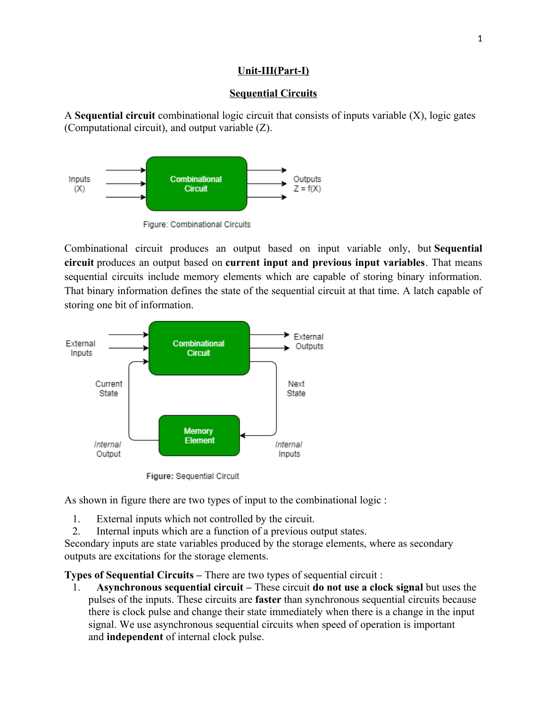## **Unit-III(Part-I)**

## **Sequential Circuits**

A **Sequential circuit** combinational logic circuit that consists of inputs variable (X), logic gates (Computational circuit), and output variable (Z).



Figure: Combinational Circuits

Combinational circuit produces an output based on input variable only, but **Sequential circuit** produces an output based on **current input and previous input variables**. That means sequential circuits include memory elements which are capable of storing binary information. That binary information defines the state of the sequential circuit at that time. A latch capable of storing one bit of information.



Figure: Sequential Circuit

As shown in figure there are two types of input to the combinational logic :

- 1. External inputs which not controlled by the circuit.
- 2. Internal inputs which are a function of a previous output states.

Secondary inputs are state variables produced by the storage elements, where as secondary outputs are excitations for the storage elements.

**Types of Sequential Circuits –** There are two types of sequential circuit :

1. **Asynchronous sequential circuit –** These circuit **do not use a clock signal** but uses the pulses of the inputs. These circuits are **faster** than synchronous sequential circuits because there is clock pulse and change their state immediately when there is a change in the input signal. We use asynchronous sequential circuits when speed of operation is important and **independent** of internal clock pulse.